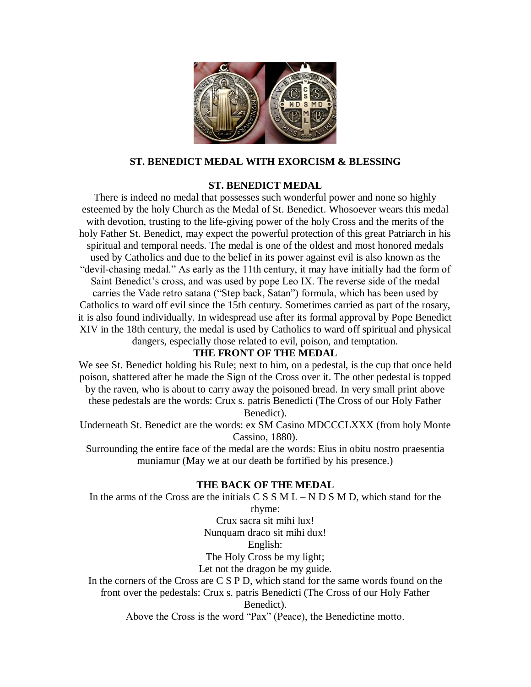

### **ST. BENEDICT MEDAL WITH EXORCISM & BLESSING**

### **ST. BENEDICT MEDAL**

There is indeed no medal that possesses such wonderful power and none so highly esteemed by the holy Church as the Medal of St. Benedict. Whosoever wears this medal with devotion, trusting to the life-giving power of the holy Cross and the merits of the holy Father St. Benedict, may expect the powerful protection of this great Patriarch in his spiritual and temporal needs. The medal is one of the oldest and most honored medals used by Catholics and due to the belief in its power against evil is also known as the "devil-chasing medal." As early as the 11th century, it may have initially had the form of Saint Benedict's cross, and was used by pope Leo IX. The reverse side of the medal carries the Vade retro satana ("Step back, Satan") formula, which has been used by Catholics to ward off evil since the 15th century. Sometimes carried as part of the rosary, it is also found individually. In widespread use after its formal approval by Pope Benedict XIV in the 18th century, the medal is used by Catholics to ward off spiritual and physical dangers, especially those related to evil, poison, and temptation.

# **THE FRONT OF THE MEDAL**

We see St. Benedict holding his Rule; next to him, on a pedestal, is the cup that once held poison, shattered after he made the Sign of the Cross over it. The other pedestal is topped by the raven, who is about to carry away the poisoned bread. In very small print above these pedestals are the words: Crux s. patris Benedicti (The Cross of our Holy Father Benedict).

Underneath St. Benedict are the words: ex SM Casino MDCCCLXXX (from holy Monte Cassino, 1880).

Surrounding the entire face of the medal are the words: Eius in obitu nostro praesentia muniamur (May we at our death be fortified by his presence.)

# **THE BACK OF THE MEDAL**

In the arms of the Cross are the initials  $C S S M L - N D S M D$ , which stand for the

rhyme:

Crux sacra sit mihi lux! Nunquam draco sit mihi dux!

English:

The Holy Cross be my light;

Let not the dragon be my guide.

In the corners of the Cross are C S P D, which stand for the same words found on the front over the pedestals: Crux s. patris Benedicti (The Cross of our Holy Father

Benedict).

Above the Cross is the word "Pax" (Peace), the Benedictine motto.